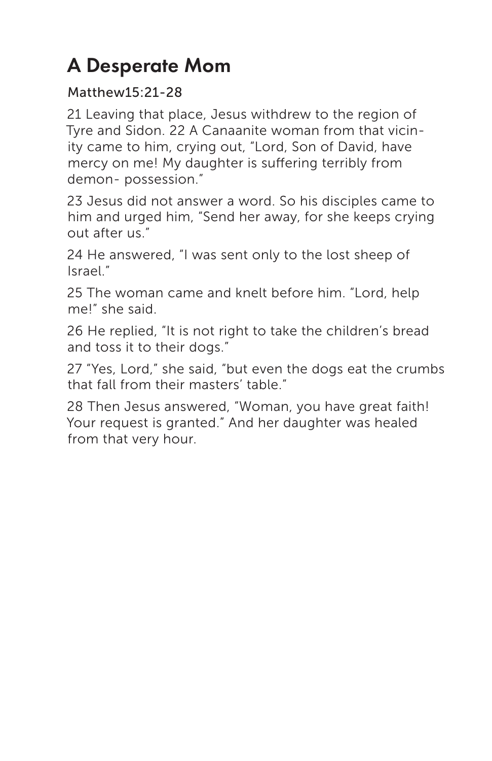## A Desperate Mom

## Matthew15:21-28

21 Leaving that place, Jesus withdrew to the region of Tyre and Sidon. 22 A Canaanite woman from that vicinity came to him, crying out, "Lord, Son of David, have mercy on me! My daughter is suffering terribly from demon- possession."

23 Jesus did not answer a word. So his disciples came to him and urged him, "Send her away, for she keeps crying out after us."

24 He answered, "I was sent only to the lost sheep of Israel."

25 The woman came and knelt before him. "Lord, help me!" she said.

26 He replied, "It is not right to take the children's bread and toss it to their dogs."

27 "Yes, Lord," she said, "but even the dogs eat the crumbs that fall from their masters' table."

28 Then Jesus answered, "Woman, you have great faith! Your request is granted." And her daughter was healed from that very hour.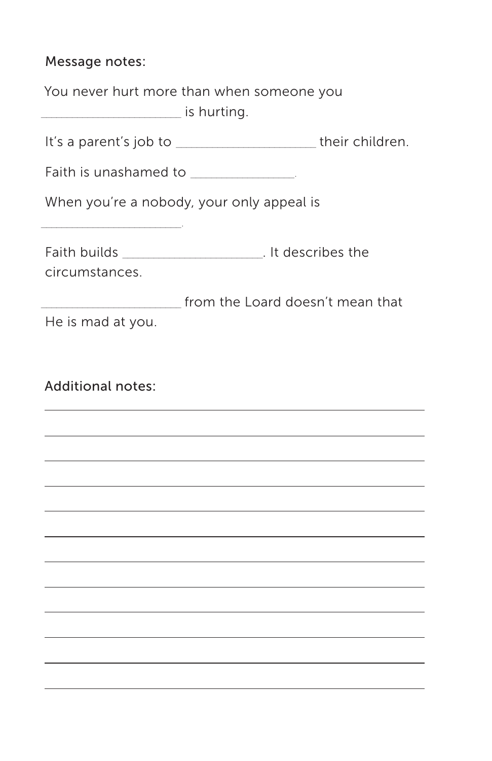## Message notes:

| <u>________________</u> is hurting.   | You never hurt more than when someone you                    |
|---------------------------------------|--------------------------------------------------------------|
|                                       | It's a parent's job to ______________________their children. |
| Faith is unashamed to _______________ |                                                              |
|                                       | When you're a nobody, your only appeal is                    |
|                                       |                                                              |
| circumstances.                        |                                                              |
|                                       | from the Loard doesn't mean that                             |
| He is mad at you.                     |                                                              |
|                                       |                                                              |
|                                       |                                                              |
| <b>Additional notes:</b>              |                                                              |
|                                       |                                                              |
|                                       |                                                              |
|                                       |                                                              |
|                                       |                                                              |
|                                       |                                                              |
|                                       |                                                              |
|                                       |                                                              |
|                                       |                                                              |
|                                       |                                                              |